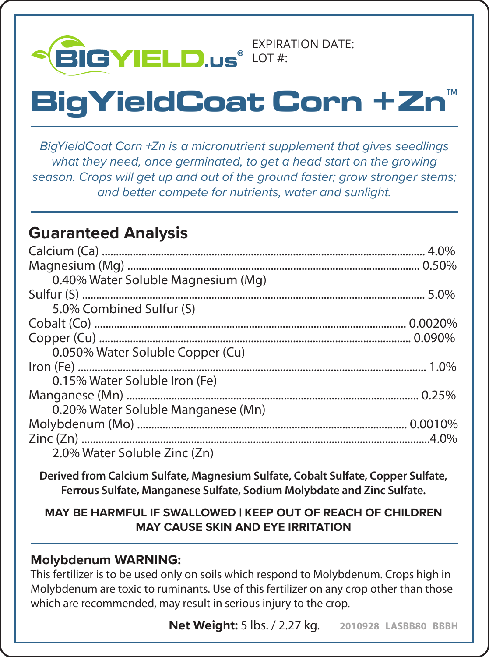

# **BigYieldCoat Corn +Zn**

*BigYieldCoat Corn +Zn is a micronutrient supplement that gives seedlings what they need, once germinated, to get a head start on the growing season. Crops will get up and out of the ground faster; grow stronger stems; and better compete for nutrients, water and sunlight.*

## **Guaranteed Analysis**

| 0.40% Water Soluble Magnesium (Mg) |  |
|------------------------------------|--|
|                                    |  |
| 5.0% Combined Sulfur (S)           |  |
|                                    |  |
|                                    |  |
| 0.050% Water Soluble Copper (Cu)   |  |
|                                    |  |
| 0.15% Water Soluble Iron (Fe)      |  |
|                                    |  |
| 0.20% Water Soluble Manganese (Mn) |  |
|                                    |  |
|                                    |  |
| 2.0% Water Soluble Zinc (Zn)       |  |

**Derived from Calcium Sulfate, Magnesium Sulfate, Cobalt Sulfate, Copper Sulfate, Ferrous Sulfate, Manganese Sulfate, Sodium Molybdate and Zinc Sulfate.**

#### **MAY BE HARMFUL IF SWALLOWED | KEEP OUT OF REACH OF CHILDREN MAY CAUSE SKIN AND EYE IRRITATION**

#### **Molybdenum WARNING:**

This fertilizer is to be used only on soils which respond to Molybdenum. Crops high in Molybdenum are toxic to ruminants. Use of this fertilizer on any crop other than those which are recommended, may result in serious injury to the crop.

**Net Weight:** 5 lbs. / 2.27 kg. **2010928 LASBB80 BBBH**